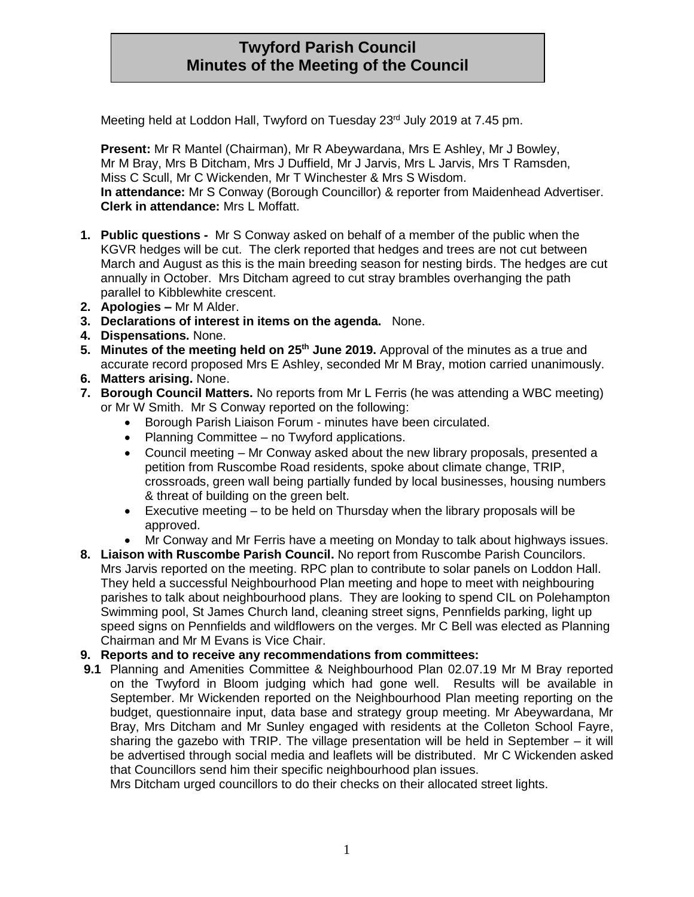# **Twyford Parish Council Minutes of the Meeting of the Council**

Meeting held at Loddon Hall, Twyford on Tuesday 23rd July 2019 at 7.45 pm.

**Present:** Mr R Mantel (Chairman), Mr R Abeywardana, Mrs E Ashley, Mr J Bowley, Mr M Bray, Mrs B Ditcham, Mrs J Duffield, Mr J Jarvis, Mrs L Jarvis, Mrs T Ramsden, Miss C Scull, Mr C Wickenden, Mr T Winchester & Mrs S Wisdom. **In attendance:** Mr S Conway (Borough Councillor) & reporter from Maidenhead Advertiser. **Clerk in attendance:** Mrs L Moffatt.

- **1. Public questions -** Mr S Conway asked on behalf of a member of the public when the KGVR hedges will be cut. The clerk reported that hedges and trees are not cut between March and August as this is the main breeding season for nesting birds. The hedges are cut annually in October. Mrs Ditcham agreed to cut stray brambles overhanging the path parallel to Kibblewhite crescent.
- **2. Apologies –** Mr M Alder.
- **3. Declarations of interest in items on the agenda.** None.
- **4. Dispensations.** None.
- **5. Minutes of the meeting held on 25th June 2019.** Approval of the minutes as a true and accurate record proposed Mrs E Ashley, seconded Mr M Bray, motion carried unanimously.
- **6. Matters arising.** None.
- **7. Borough Council Matters.** No reports from Mr L Ferris (he was attending a WBC meeting) or Mr W Smith. Mr S Conway reported on the following:
	- Borough Parish Liaison Forum minutes have been circulated.
	- Planning Committee no Twyford applications.
	- Council meeting Mr Conway asked about the new library proposals, presented a petition from Ruscombe Road residents, spoke about climate change, TRIP, crossroads, green wall being partially funded by local businesses, housing numbers & threat of building on the green belt.
	- Executive meeting to be held on Thursday when the library proposals will be approved.
	- Mr Conway and Mr Ferris have a meeting on Monday to talk about highways issues.
- **8. Liaison with Ruscombe Parish Council.** No report from Ruscombe Parish Councilors. Mrs Jarvis reported on the meeting. RPC plan to contribute to solar panels on Loddon Hall. They held a successful Neighbourhood Plan meeting and hope to meet with neighbouring parishes to talk about neighbourhood plans. They are looking to spend CIL on Polehampton Swimming pool, St James Church land, cleaning street signs, Pennfields parking, light up speed signs on Pennfields and wildflowers on the verges. Mr C Bell was elected as Planning Chairman and Mr M Evans is Vice Chair.

## **9. Reports and to receive any recommendations from committees:**

**9.1** Planning and Amenities Committee & Neighbourhood Plan 02.07.19 Mr M Bray reported on the Twyford in Bloom judging which had gone well. Results will be available in September. Mr Wickenden reported on the Neighbourhood Plan meeting reporting on the budget, questionnaire input, data base and strategy group meeting. Mr Abeywardana, Mr Bray, Mrs Ditcham and Mr Sunley engaged with residents at the Colleton School Fayre, sharing the gazebo with TRIP. The village presentation will be held in September – it will be advertised through social media and leaflets will be distributed. Mr C Wickenden asked that Councillors send him their specific neighbourhood plan issues.

Mrs Ditcham urged councillors to do their checks on their allocated street lights.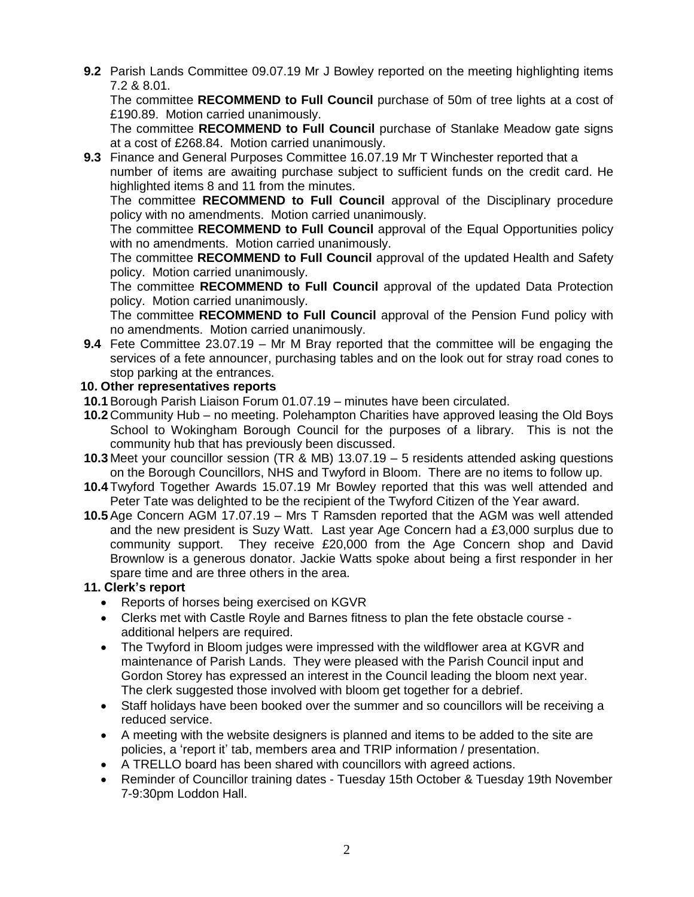**9.2** Parish Lands Committee 09.07.19 Mr J Bowley reported on the meeting highlighting items 7.2 & 8.01.

The committee **RECOMMEND to Full Council** purchase of 50m of tree lights at a cost of £190.89. Motion carried unanimously.

The committee **RECOMMEND to Full Council** purchase of Stanlake Meadow gate signs at a cost of £268.84. Motion carried unanimously.

**9.3** Finance and General Purposes Committee 16.07.19 Mr T Winchester reported that a number of items are awaiting purchase subject to sufficient funds on the credit card. He highlighted items 8 and 11 from the minutes.

The committee **RECOMMEND to Full Council** approval of the Disciplinary procedure policy with no amendments. Motion carried unanimously.

The committee **RECOMMEND to Full Council** approval of the Equal Opportunities policy with no amendments. Motion carried unanimously.

The committee **RECOMMEND to Full Council** approval of the updated Health and Safety policy. Motion carried unanimously.

The committee **RECOMMEND to Full Council** approval of the updated Data Protection policy. Motion carried unanimously.

The committee **RECOMMEND to Full Council** approval of the Pension Fund policy with no amendments. Motion carried unanimously.

**9.4** Fete Committee 23.07.19 – Mr M Bray reported that the committee will be engaging the services of a fete announcer, purchasing tables and on the look out for stray road cones to stop parking at the entrances.

# **10. Other representatives reports**

- **10.1**Borough Parish Liaison Forum 01.07.19 minutes have been circulated.
- **10.2** Community Hub no meeting. Polehampton Charities have approved leasing the Old Boys School to Wokingham Borough Council for the purposes of a library. This is not the community hub that has previously been discussed.
- **10.3** Meet your councillor session (TR & MB) 13.07.19 5 residents attended asking questions on the Borough Councillors, NHS and Twyford in Bloom. There are no items to follow up.
- **10.4** Twyford Together Awards 15.07.19 Mr Bowley reported that this was well attended and Peter Tate was delighted to be the recipient of the Twyford Citizen of the Year award.
- **10.5**Age Concern AGM 17.07.19 Mrs T Ramsden reported that the AGM was well attended and the new president is Suzy Watt. Last year Age Concern had a £3,000 surplus due to community support. They receive £20,000 from the Age Concern shop and David Brownlow is a generous donator. Jackie Watts spoke about being a first responder in her spare time and are three others in the area.

## **11. Clerk's report**

- Reports of horses being exercised on KGVR
- Clerks met with Castle Royle and Barnes fitness to plan the fete obstacle course additional helpers are required.
- The Twyford in Bloom judges were impressed with the wildflower area at KGVR and maintenance of Parish Lands. They were pleased with the Parish Council input and Gordon Storey has expressed an interest in the Council leading the bloom next year. The clerk suggested those involved with bloom get together for a debrief.
- Staff holidays have been booked over the summer and so councillors will be receiving a reduced service.
- A meeting with the website designers is planned and items to be added to the site are policies, a 'report it' tab, members area and TRIP information / presentation.
- A TRELLO board has been shared with councillors with agreed actions.
- Reminder of Councillor training dates Tuesday 15th October & Tuesday 19th November 7-9:30pm Loddon Hall.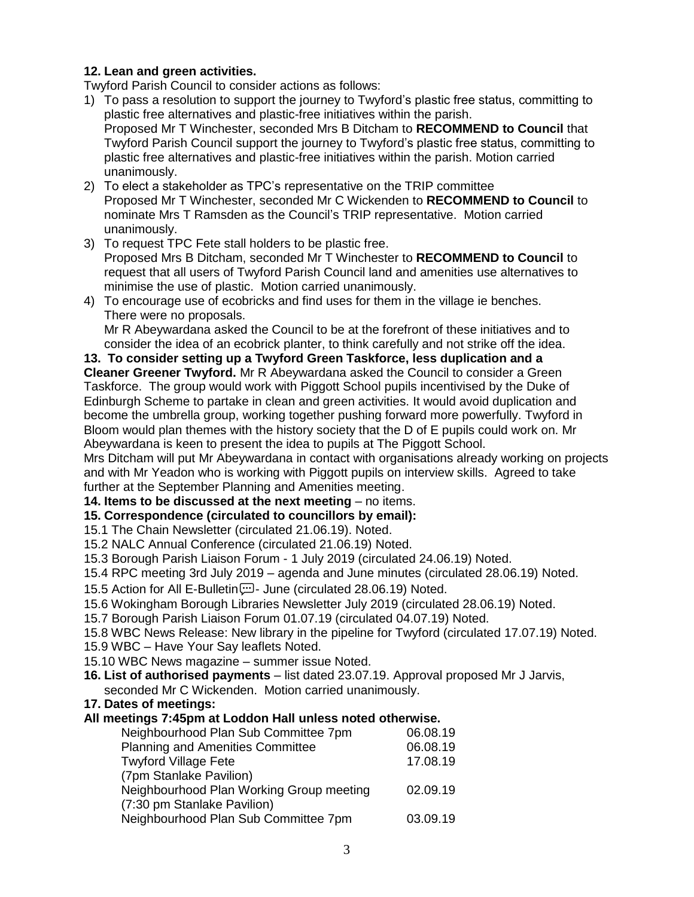# **12. Lean and green activities.**

Twyford Parish Council to consider actions as follows:

- 1) To pass a resolution to support the journey to Twyford's plastic free status, committing to plastic free alternatives and plastic-free initiatives within the parish. Proposed Mr T Winchester, seconded Mrs B Ditcham to **RECOMMEND to Council** that Twyford Parish Council support the journey to Twyford's plastic free status, committing to plastic free alternatives and plastic-free initiatives within the parish. Motion carried unanimously.
- 2) To elect a stakeholder as TPC's representative on the TRIP committee Proposed Mr T Winchester, seconded Mr C Wickenden to **RECOMMEND to Council** to nominate Mrs T Ramsden as the Council's TRIP representative. Motion carried unanimously.
- 3) To request TPC Fete stall holders to be plastic free. Proposed Mrs B Ditcham, seconded Mr T Winchester to **RECOMMEND to Council** to request that all users of Twyford Parish Council land and amenities use alternatives to minimise the use of plastic. Motion carried unanimously.
- 4) To encourage use of ecobricks and find uses for them in the village ie benches. There were no proposals.

Mr R Abeywardana asked the Council to be at the forefront of these initiatives and to consider the idea of an ecobrick planter, to think carefully and not strike off the idea.

# **13. To consider setting up a Twyford Green Taskforce, less duplication and a**

**Cleaner Greener Twyford.** Mr R Abeywardana asked the Council to consider a Green Taskforce. The group would work with Piggott School pupils incentivised by the Duke of Edinburgh Scheme to partake in clean and green activities. It would avoid duplication and become the umbrella group, working together pushing forward more powerfully. Twyford in Bloom would plan themes with the history society that the D of E pupils could work on. Mr Abeywardana is keen to present the idea to pupils at The Piggott School.

Mrs Ditcham will put Mr Abeywardana in contact with organisations already working on projects and with Mr Yeadon who is working with Piggott pupils on interview skills. Agreed to take further at the September Planning and Amenities meeting.

## **14. Items to be discussed at the next meeting** – no items.

- **15. Correspondence (circulated to councillors by email):**
- 15.1 The Chain Newsletter (circulated 21.06.19). Noted.
- 15.2 NALC Annual Conference (circulated 21.06.19) Noted.
- 15.3 Borough Parish Liaison Forum 1 July 2019 (circulated 24.06.19) Noted.
- 15.4 RPC meeting 3rd July 2019 agenda and June minutes (circulated 28.06.19) Noted.
- 15.5 Action for All E-Bulletin $\Box$  June (circulated 28.06.19) Noted.
- 15.6 Wokingham Borough Libraries Newsletter July 2019 (circulated 28.06.19) Noted.
- 15.7 Borough Parish Liaison Forum 01.07.19 (circulated 04.07.19) Noted.
- 15.8 WBC News Release: New library in the pipeline for Twyford (circulated 17.07.19) Noted.
- 15.9 WBC Have Your Say leaflets Noted.
- 15.10 WBC News magazine summer issue Noted.
- **16. List of authorised payments** list dated 23.07.19. Approval proposed Mr J Jarvis, seconded Mr C Wickenden. Motion carried unanimously.

#### **17. Dates of meetings:**

## **All meetings 7:45pm at Loddon Hall unless noted otherwise.**

| Neighbourhood Plan Sub Committee 7pm     | 06.08.19 |
|------------------------------------------|----------|
| <b>Planning and Amenities Committee</b>  | 06.08.19 |
| <b>Twyford Village Fete</b>              | 17.08.19 |
| (7pm Stanlake Pavilion)                  |          |
| Neighbourhood Plan Working Group meeting | 02.09.19 |
| (7:30 pm Stanlake Pavilion)              |          |
| Neighbourhood Plan Sub Committee 7pm     | 03.09.19 |